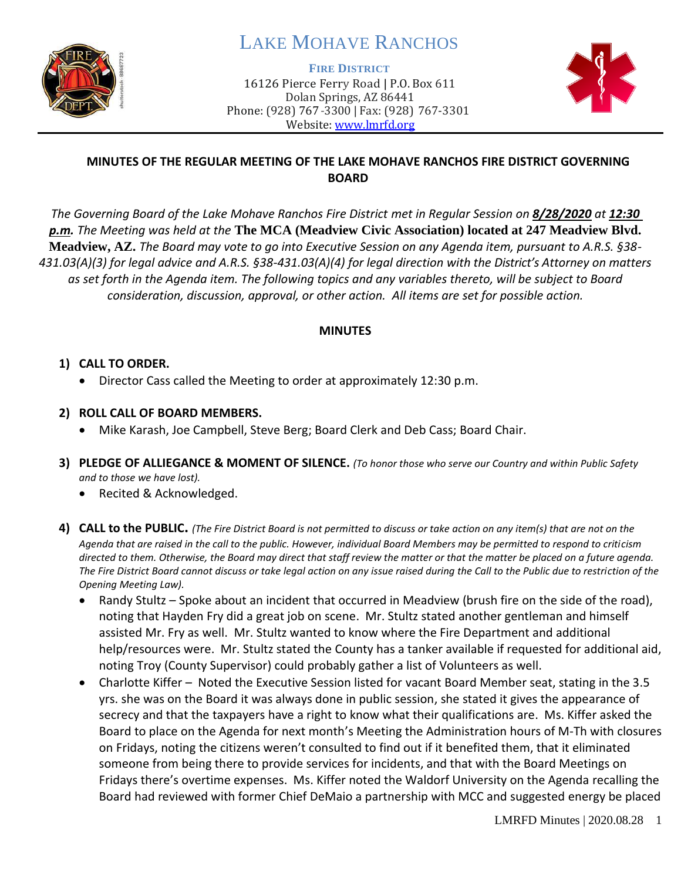

# LAKE MOHAVE RANCHOS

**FIRE DISTRICT**

16126 Pierce Ferry Road | P.O. Box 611 Dolan Springs, AZ 86441 Phone: (928) 767-3300 | Fax: (928) 767-3301 Website: [www.lmrfd.org](http://www.lmrfd.org/)



# **MINUTES OF THE REGULAR MEETING OF THE LAKE MOHAVE RANCHOS FIRE DISTRICT GOVERNING BOARD**

*The Governing Board of the Lake Mohave Ranchos Fire District met in Regular Session on 8/28/2020 at 12:30 p.m. The Meeting was held at the* **The MCA (Meadview Civic Association) located at 247 Meadview Blvd. Meadview, AZ.** *The Board may vote to go into Executive Session on any Agenda item, pursuant to A.R.S. §38- 431.03(A)(3) for legal advice and A.R.S. §38-431.03(A)(4) for legal direction with the District's Attorney on matters as set forth in the Agenda item. The following topics and any variables thereto, will be subject to Board consideration, discussion, approval, or other action. All items are set for possible action.* 

# **MINUTES**

# **1) CALL TO ORDER.**

- Director Cass called the Meeting to order at approximately 12:30 p.m.
- **2) ROLL CALL OF BOARD MEMBERS.**
	- Mike Karash, Joe Campbell, Steve Berg; Board Clerk and Deb Cass; Board Chair.
- **3) PLEDGE OF ALLIEGANCE & MOMENT OF SILENCE.** *(To honor those who serve our Country and within Public Safety and to those we have lost).*
	- Recited & Acknowledged.
- **4) CALL to the PUBLIC.** *(The Fire District Board is not permitted to discuss or take action on any item(s) that are not on the Agenda that are raised in the call to the public. However, individual Board Members may be permitted to respond to criticism directed to them. Otherwise, the Board may direct that staff review the matter or that the matter be placed on a future agenda. The Fire District Board cannot discuss or take legal action on any issue raised during the Call to the Public due to restriction of the Opening Meeting Law).*
	- Randy Stultz Spoke about an incident that occurred in Meadview (brush fire on the side of the road), noting that Hayden Fry did a great job on scene. Mr. Stultz stated another gentleman and himself assisted Mr. Fry as well. Mr. Stultz wanted to know where the Fire Department and additional help/resources were. Mr. Stultz stated the County has a tanker available if requested for additional aid, noting Troy (County Supervisor) could probably gather a list of Volunteers as well.
	- Charlotte Kiffer Noted the Executive Session listed for vacant Board Member seat, stating in the 3.5 yrs. she was on the Board it was always done in public session, she stated it gives the appearance of secrecy and that the taxpayers have a right to know what their qualifications are. Ms. Kiffer asked the Board to place on the Agenda for next month's Meeting the Administration hours of M-Th with closures on Fridays, noting the citizens weren't consulted to find out if it benefited them, that it eliminated someone from being there to provide services for incidents, and that with the Board Meetings on Fridays there's overtime expenses. Ms. Kiffer noted the Waldorf University on the Agenda recalling the Board had reviewed with former Chief DeMaio a partnership with MCC and suggested energy be placed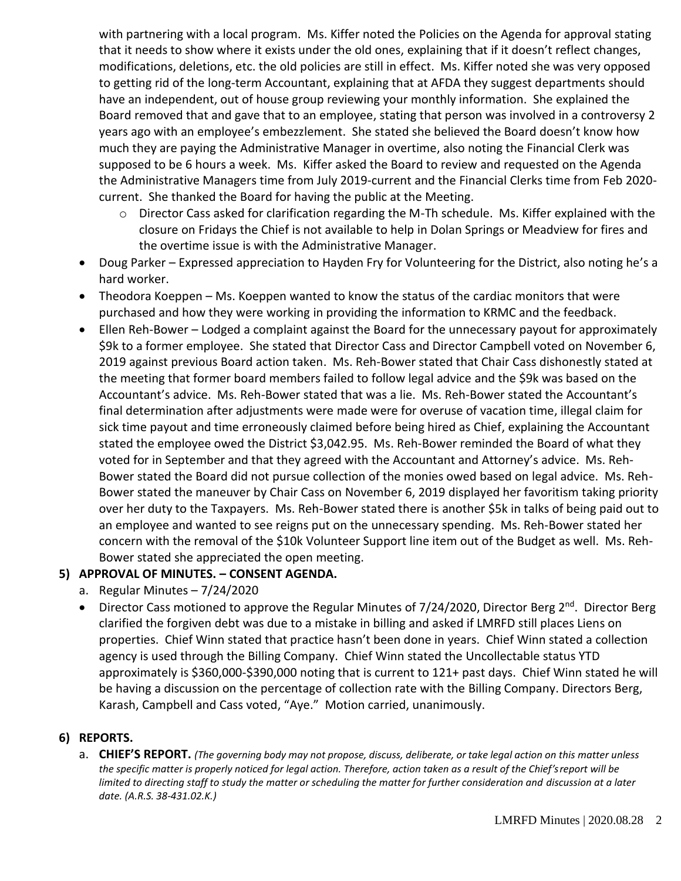with partnering with a local program. Ms. Kiffer noted the Policies on the Agenda for approval stating that it needs to show where it exists under the old ones, explaining that if it doesn't reflect changes, modifications, deletions, etc. the old policies are still in effect. Ms. Kiffer noted she was very opposed to getting rid of the long-term Accountant, explaining that at AFDA they suggest departments should have an independent, out of house group reviewing your monthly information. She explained the Board removed that and gave that to an employee, stating that person was involved in a controversy 2 years ago with an employee's embezzlement. She stated she believed the Board doesn't know how much they are paying the Administrative Manager in overtime, also noting the Financial Clerk was supposed to be 6 hours a week. Ms. Kiffer asked the Board to review and requested on the Agenda the Administrative Managers time from July 2019-current and the Financial Clerks time from Feb 2020 current. She thanked the Board for having the public at the Meeting.

- $\circ$  Director Cass asked for clarification regarding the M-Th schedule. Ms. Kiffer explained with the closure on Fridays the Chief is not available to help in Dolan Springs or Meadview for fires and the overtime issue is with the Administrative Manager.
- Doug Parker Expressed appreciation to Hayden Fry for Volunteering for the District, also noting he's a hard worker.
- Theodora Koeppen Ms. Koeppen wanted to know the status of the cardiac monitors that were purchased and how they were working in providing the information to KRMC and the feedback.
- Ellen Reh-Bower Lodged a complaint against the Board for the unnecessary payout for approximately \$9k to a former employee. She stated that Director Cass and Director Campbell voted on November 6, 2019 against previous Board action taken. Ms. Reh-Bower stated that Chair Cass dishonestly stated at the meeting that former board members failed to follow legal advice and the \$9k was based on the Accountant's advice. Ms. Reh-Bower stated that was a lie. Ms. Reh-Bower stated the Accountant's final determination after adjustments were made were for overuse of vacation time, illegal claim for sick time payout and time erroneously claimed before being hired as Chief, explaining the Accountant stated the employee owed the District \$3,042.95. Ms. Reh-Bower reminded the Board of what they voted for in September and that they agreed with the Accountant and Attorney's advice. Ms. Reh-Bower stated the Board did not pursue collection of the monies owed based on legal advice. Ms. Reh-Bower stated the maneuver by Chair Cass on November 6, 2019 displayed her favoritism taking priority over her duty to the Taxpayers. Ms. Reh-Bower stated there is another \$5k in talks of being paid out to an employee and wanted to see reigns put on the unnecessary spending. Ms. Reh-Bower stated her concern with the removal of the \$10k Volunteer Support line item out of the Budget as well. Ms. Reh-Bower stated she appreciated the open meeting.

# **5) APPROVAL OF MINUTES. – CONSENT AGENDA.**

- a. Regular Minutes 7/24/2020
- Director Cass motioned to approve the Regular Minutes of 7/24/2020, Director Berg  $2<sup>nd</sup>$ . Director Berg clarified the forgiven debt was due to a mistake in billing and asked if LMRFD still places Liens on properties. Chief Winn stated that practice hasn't been done in years. Chief Winn stated a collection agency is used through the Billing Company. Chief Winn stated the Uncollectable status YTD approximately is \$360,000-\$390,000 noting that is current to 121+ past days. Chief Winn stated he will be having a discussion on the percentage of collection rate with the Billing Company. Directors Berg, Karash, Campbell and Cass voted, "Aye." Motion carried, unanimously.

#### **6) REPORTS.**

a. CHIEF'S REPORT. (The governing body may not propose, discuss, deliberate, or take legal action on this matter unless *the specific matter is properly noticed for legal action. Therefore, action taken as a result of the Chief's report will be limited to directing staff to study the matter or scheduling the matter for further consideration and discussion at a later date. (A.R.S. 38-431.02.K.)*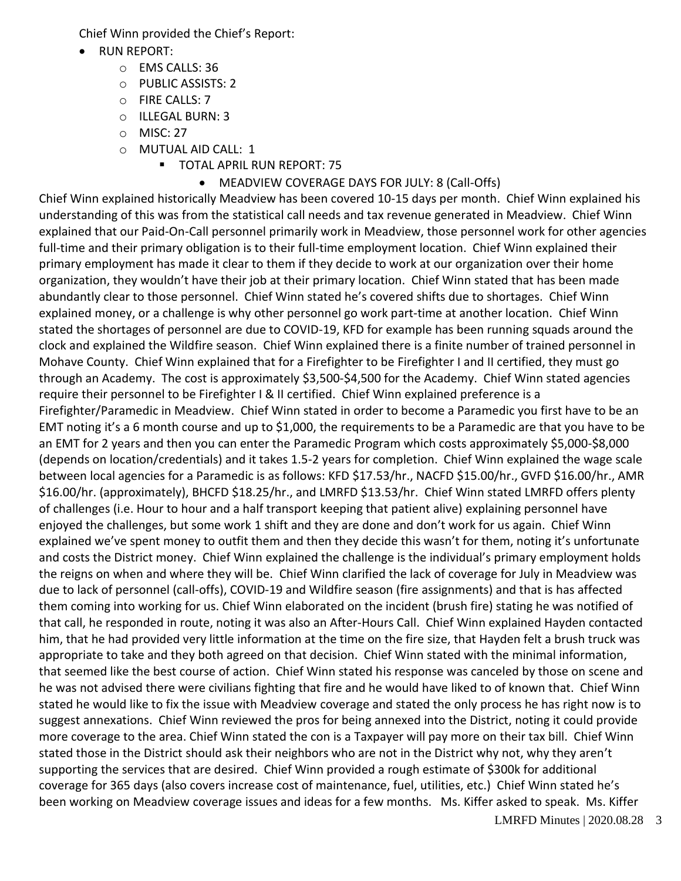Chief Winn provided the Chief's Report:

- RUN REPORT:
	- o EMS CALLS: 36
	- o PUBLIC ASSISTS: 2
	- o FIRE CALLS: 7
	- o ILLEGAL BURN: 3
	- o MISC: 27
	- o MUTUAL AID CALL: 1
		- **TOTAL APRIL RUN REPORT: 75** 
			- MEADVIEW COVERAGE DAYS FOR JULY: 8 (Call-Offs)

Chief Winn explained historically Meadview has been covered 10-15 days per month. Chief Winn explained his understanding of this was from the statistical call needs and tax revenue generated in Meadview. Chief Winn explained that our Paid-On-Call personnel primarily work in Meadview, those personnel work for other agencies full-time and their primary obligation is to their full-time employment location. Chief Winn explained their primary employment has made it clear to them if they decide to work at our organization over their home organization, they wouldn't have their job at their primary location. Chief Winn stated that has been made abundantly clear to those personnel. Chief Winn stated he's covered shifts due to shortages. Chief Winn explained money, or a challenge is why other personnel go work part-time at another location. Chief Winn stated the shortages of personnel are due to COVID-19, KFD for example has been running squads around the clock and explained the Wildfire season. Chief Winn explained there is a finite number of trained personnel in Mohave County. Chief Winn explained that for a Firefighter to be Firefighter I and II certified, they must go through an Academy. The cost is approximately \$3,500-\$4,500 for the Academy. Chief Winn stated agencies require their personnel to be Firefighter I & II certified. Chief Winn explained preference is a Firefighter/Paramedic in Meadview. Chief Winn stated in order to become a Paramedic you first have to be an EMT noting it's a 6 month course and up to \$1,000, the requirements to be a Paramedic are that you have to be an EMT for 2 years and then you can enter the Paramedic Program which costs approximately \$5,000-\$8,000 (depends on location/credentials) and it takes 1.5-2 years for completion. Chief Winn explained the wage scale between local agencies for a Paramedic is as follows: KFD \$17.53/hr., NACFD \$15.00/hr., GVFD \$16.00/hr., AMR \$16.00/hr. (approximately), BHCFD \$18.25/hr., and LMRFD \$13.53/hr. Chief Winn stated LMRFD offers plenty of challenges (i.e. Hour to hour and a half transport keeping that patient alive) explaining personnel have enjoyed the challenges, but some work 1 shift and they are done and don't work for us again. Chief Winn explained we've spent money to outfit them and then they decide this wasn't for them, noting it's unfortunate and costs the District money. Chief Winn explained the challenge is the individual's primary employment holds the reigns on when and where they will be. Chief Winn clarified the lack of coverage for July in Meadview was due to lack of personnel (call-offs), COVID-19 and Wildfire season (fire assignments) and that is has affected them coming into working for us. Chief Winn elaborated on the incident (brush fire) stating he was notified of that call, he responded in route, noting it was also an After-Hours Call. Chief Winn explained Hayden contacted him, that he had provided very little information at the time on the fire size, that Hayden felt a brush truck was appropriate to take and they both agreed on that decision. Chief Winn stated with the minimal information, that seemed like the best course of action. Chief Winn stated his response was canceled by those on scene and he was not advised there were civilians fighting that fire and he would have liked to of known that. Chief Winn stated he would like to fix the issue with Meadview coverage and stated the only process he has right now is to suggest annexations. Chief Winn reviewed the pros for being annexed into the District, noting it could provide more coverage to the area. Chief Winn stated the con is a Taxpayer will pay more on their tax bill. Chief Winn stated those in the District should ask their neighbors who are not in the District why not, why they aren't supporting the services that are desired. Chief Winn provided a rough estimate of \$300k for additional coverage for 365 days (also covers increase cost of maintenance, fuel, utilities, etc.) Chief Winn stated he's been working on Meadview coverage issues and ideas for a few months. Ms. Kiffer asked to speak. Ms. Kiffer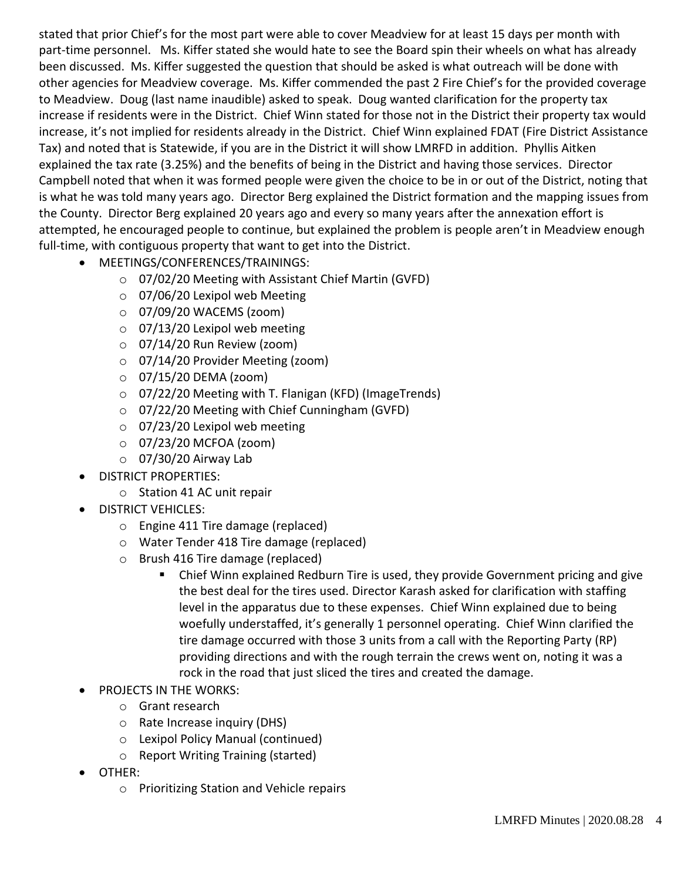stated that prior Chief's for the most part were able to cover Meadview for at least 15 days per month with part-time personnel. Ms. Kiffer stated she would hate to see the Board spin their wheels on what has already been discussed. Ms. Kiffer suggested the question that should be asked is what outreach will be done with other agencies for Meadview coverage. Ms. Kiffer commended the past 2 Fire Chief's for the provided coverage to Meadview. Doug (last name inaudible) asked to speak. Doug wanted clarification for the property tax increase if residents were in the District. Chief Winn stated for those not in the District their property tax would increase, it's not implied for residents already in the District. Chief Winn explained FDAT (Fire District Assistance Tax) and noted that is Statewide, if you are in the District it will show LMRFD in addition. Phyllis Aitken explained the tax rate (3.25%) and the benefits of being in the District and having those services. Director Campbell noted that when it was formed people were given the choice to be in or out of the District, noting that is what he was told many years ago. Director Berg explained the District formation and the mapping issues from the County. Director Berg explained 20 years ago and every so many years after the annexation effort is attempted, he encouraged people to continue, but explained the problem is people aren't in Meadview enough full-time, with contiguous property that want to get into the District.

- MEETINGS/CONFERENCES/TRAININGS:
	- o 07/02/20 Meeting with Assistant Chief Martin (GVFD)
	- o 07/06/20 Lexipol web Meeting
	- $\circ$  07/09/20 WACEMS (zoom)
	- $\circ$  07/13/20 Lexipol web meeting
	- o 07/14/20 Run Review (zoom)
	- o 07/14/20 Provider Meeting (zoom)
	- o 07/15/20 DEMA (zoom)
	- o 07/22/20 Meeting with T. Flanigan (KFD) (ImageTrends)
	- o 07/22/20 Meeting with Chief Cunningham (GVFD)
	- $\circ$  07/23/20 Lexipol web meeting
	- $\circ$  07/23/20 MCFOA (zoom)
	- $\circ$  07/30/20 Airway Lab
- DISTRICT PROPERTIES:
	- o Station 41 AC unit repair
- DISTRICT VEHICLES:
	- o Engine 411 Tire damage (replaced)
	- o Water Tender 418 Tire damage (replaced)
	- o Brush 416 Tire damage (replaced)
		- Chief Winn explained Redburn Tire is used, they provide Government pricing and give the best deal for the tires used. Director Karash asked for clarification with staffing level in the apparatus due to these expenses. Chief Winn explained due to being woefully understaffed, it's generally 1 personnel operating. Chief Winn clarified the tire damage occurred with those 3 units from a call with the Reporting Party (RP) providing directions and with the rough terrain the crews went on, noting it was a rock in the road that just sliced the tires and created the damage.
- PROJECTS IN THE WORKS:
	- o Grant research
	- o Rate Increase inquiry (DHS)
	- o Lexipol Policy Manual (continued)
	- o Report Writing Training (started)
- OTHER:
	- o Prioritizing Station and Vehicle repairs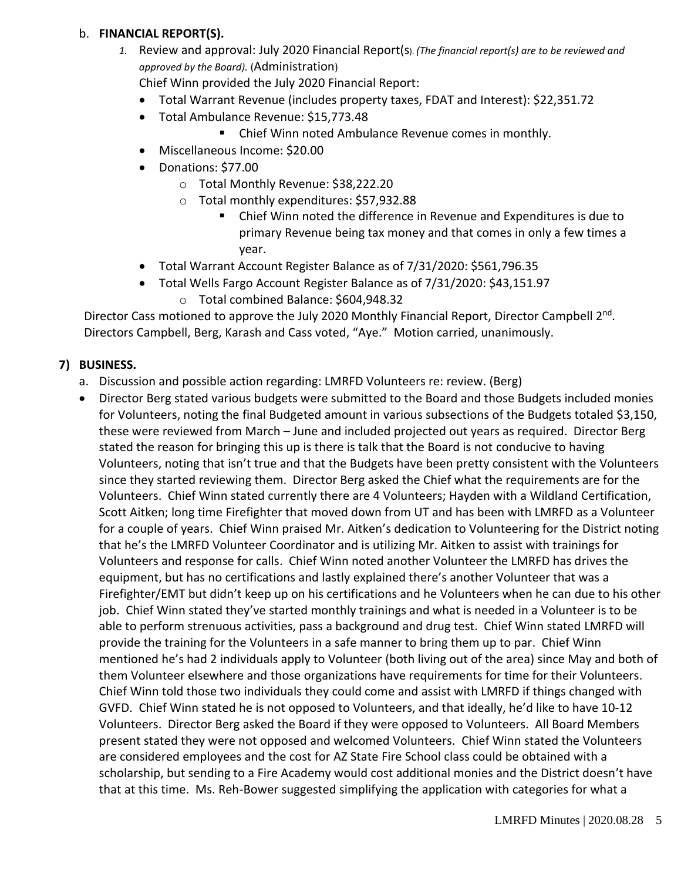#### b. **FINANCIAL REPORT(S).**

*1.* Review and approval: July 2020 Financial Report(s). *(The financial report(s) are to be reviewed and approved by the Board).* (Administration)

Chief Winn provided the July 2020 Financial Report:

- Total Warrant Revenue (includes property taxes, FDAT and Interest): \$22,351.72
- Total Ambulance Revenue: \$15,773.48
	- Chief Winn noted Ambulance Revenue comes in monthly.
- Miscellaneous Income: \$20.00
- Donations: \$77.00
	- o Total Monthly Revenue: \$38,222.20
	- o Total monthly expenditures: \$57,932.88
		- Chief Winn noted the difference in Revenue and Expenditures is due to primary Revenue being tax money and that comes in only a few times a year.
- Total Warrant Account Register Balance as of 7/31/2020: \$561,796.35
- Total Wells Fargo Account Register Balance as of 7/31/2020: \$43,151.97
	- o Total combined Balance: \$604,948.32

Director Cass motioned to approve the July 2020 Monthly Financial Report, Director Campbell 2<sup>nd</sup>. Directors Campbell, Berg, Karash and Cass voted, "Aye." Motion carried, unanimously.

# **7) BUSINESS.**

- a. Discussion and possible action regarding: LMRFD Volunteers re: review. (Berg)
- Director Berg stated various budgets were submitted to the Board and those Budgets included monies for Volunteers, noting the final Budgeted amount in various subsections of the Budgets totaled \$3,150, these were reviewed from March – June and included projected out years as required. Director Berg stated the reason for bringing this up is there is talk that the Board is not conducive to having Volunteers, noting that isn't true and that the Budgets have been pretty consistent with the Volunteers since they started reviewing them. Director Berg asked the Chief what the requirements are for the Volunteers. Chief Winn stated currently there are 4 Volunteers; Hayden with a Wildland Certification, Scott Aitken; long time Firefighter that moved down from UT and has been with LMRFD as a Volunteer for a couple of years. Chief Winn praised Mr. Aitken's dedication to Volunteering for the District noting that he's the LMRFD Volunteer Coordinator and is utilizing Mr. Aitken to assist with trainings for Volunteers and response for calls. Chief Winn noted another Volunteer the LMRFD has drives the equipment, but has no certifications and lastly explained there's another Volunteer that was a Firefighter/EMT but didn't keep up on his certifications and he Volunteers when he can due to his other job. Chief Winn stated they've started monthly trainings and what is needed in a Volunteer is to be able to perform strenuous activities, pass a background and drug test. Chief Winn stated LMRFD will provide the training for the Volunteers in a safe manner to bring them up to par. Chief Winn mentioned he's had 2 individuals apply to Volunteer (both living out of the area) since May and both of them Volunteer elsewhere and those organizations have requirements for time for their Volunteers. Chief Winn told those two individuals they could come and assist with LMRFD if things changed with GVFD. Chief Winn stated he is not opposed to Volunteers, and that ideally, he'd like to have 10-12 Volunteers. Director Berg asked the Board if they were opposed to Volunteers. All Board Members present stated they were not opposed and welcomed Volunteers. Chief Winn stated the Volunteers are considered employees and the cost for AZ State Fire School class could be obtained with a scholarship, but sending to a Fire Academy would cost additional monies and the District doesn't have that at this time. Ms. Reh-Bower suggested simplifying the application with categories for what a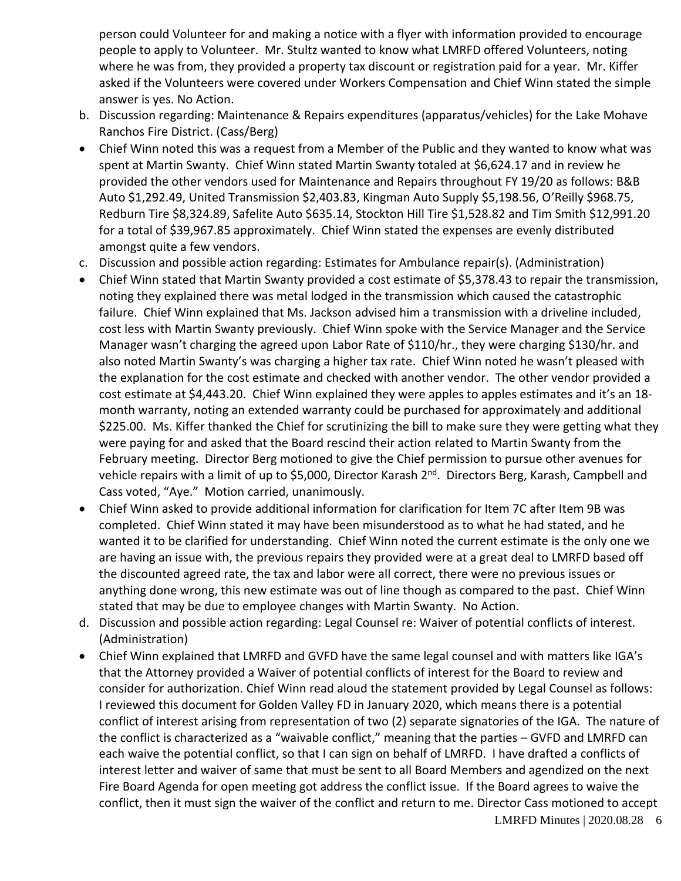person could Volunteer for and making a notice with a flyer with information provided to encourage people to apply to Volunteer. Mr. Stultz wanted to know what LMRFD offered Volunteers, noting where he was from, they provided a property tax discount or registration paid for a year. Mr. Kiffer asked if the Volunteers were covered under Workers Compensation and Chief Winn stated the simple answer is yes. No Action.

- b. Discussion regarding: Maintenance & Repairs expenditures (apparatus/vehicles) for the Lake Mohave Ranchos Fire District. (Cass/Berg)
- Chief Winn noted this was a request from a Member of the Public and they wanted to know what was spent at Martin Swanty. Chief Winn stated Martin Swanty totaled at \$6,624.17 and in review he provided the other vendors used for Maintenance and Repairs throughout FY 19/20 as follows: B&B Auto \$1,292.49, United Transmission \$2,403.83, Kingman Auto Supply \$5,198.56, O'Reilly \$968.75, Redburn Tire \$8,324.89, Safelite Auto \$635.14, Stockton Hill Tire \$1,528.82 and Tim Smith \$12,991.20 for a total of \$39,967.85 approximately. Chief Winn stated the expenses are evenly distributed amongst quite a few vendors.
- c. Discussion and possible action regarding: Estimates for Ambulance repair(s). (Administration)
- Chief Winn stated that Martin Swanty provided a cost estimate of \$5,378.43 to repair the transmission, noting they explained there was metal lodged in the transmission which caused the catastrophic failure. Chief Winn explained that Ms. Jackson advised him a transmission with a driveline included, cost less with Martin Swanty previously. Chief Winn spoke with the Service Manager and the Service Manager wasn't charging the agreed upon Labor Rate of \$110/hr., they were charging \$130/hr. and also noted Martin Swanty's was charging a higher tax rate. Chief Winn noted he wasn't pleased with the explanation for the cost estimate and checked with another vendor. The other vendor provided a cost estimate at \$4,443.20. Chief Winn explained they were apples to apples estimates and it's an 18 month warranty, noting an extended warranty could be purchased for approximately and additional \$225.00. Ms. Kiffer thanked the Chief for scrutinizing the bill to make sure they were getting what they were paying for and asked that the Board rescind their action related to Martin Swanty from the February meeting. Director Berg motioned to give the Chief permission to pursue other avenues for vehicle repairs with a limit of up to \$5,000, Director Karash 2<sup>nd</sup>. Directors Berg, Karash, Campbell and Cass voted, "Aye." Motion carried, unanimously.
- Chief Winn asked to provide additional information for clarification for Item 7C after Item 9B was completed. Chief Winn stated it may have been misunderstood as to what he had stated, and he wanted it to be clarified for understanding. Chief Winn noted the current estimate is the only one we are having an issue with, the previous repairs they provided were at a great deal to LMRFD based off the discounted agreed rate, the tax and labor were all correct, there were no previous issues or anything done wrong, this new estimate was out of line though as compared to the past. Chief Winn stated that may be due to employee changes with Martin Swanty. No Action.
- d. Discussion and possible action regarding: Legal Counsel re: Waiver of potential conflicts of interest. (Administration)
- Chief Winn explained that LMRFD and GVFD have the same legal counsel and with matters like IGA's that the Attorney provided a Waiver of potential conflicts of interest for the Board to review and consider for authorization. Chief Winn read aloud the statement provided by Legal Counsel as follows: I reviewed this document for Golden Valley FD in January 2020, which means there is a potential conflict of interest arising from representation of two (2) separate signatories of the IGA. The nature of the conflict is characterized as a "waivable conflict," meaning that the parties – GVFD and LMRFD can each waive the potential conflict, so that I can sign on behalf of LMRFD. I have drafted a conflicts of interest letter and waiver of same that must be sent to all Board Members and agendized on the next Fire Board Agenda for open meeting got address the conflict issue. If the Board agrees to waive the conflict, then it must sign the waiver of the conflict and return to me. Director Cass motioned to accept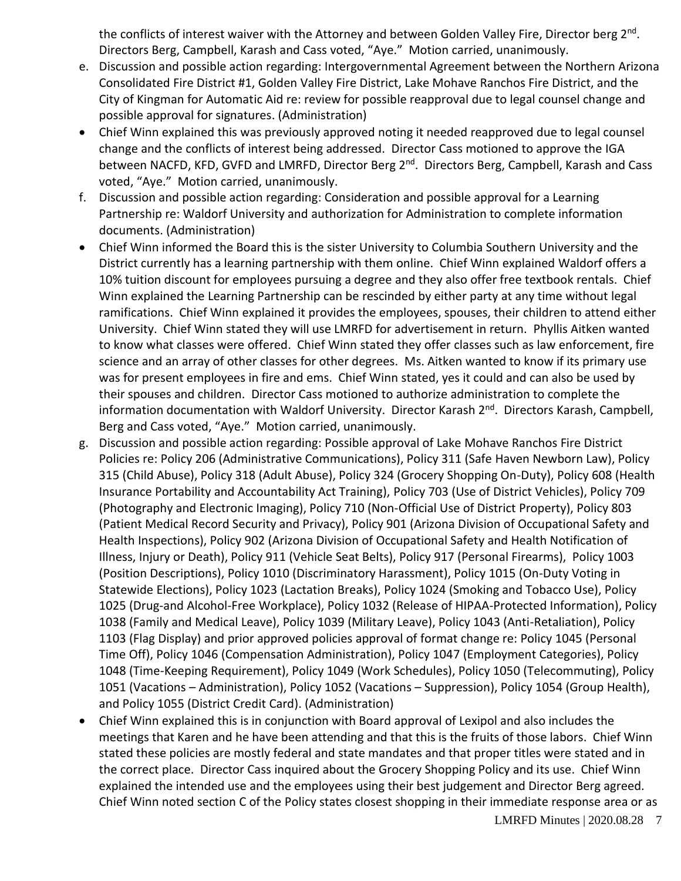the conflicts of interest waiver with the Attorney and between Golden Valley Fire, Director berg 2<sup>nd</sup>. Directors Berg, Campbell, Karash and Cass voted, "Aye." Motion carried, unanimously.

- e. Discussion and possible action regarding: Intergovernmental Agreement between the Northern Arizona Consolidated Fire District #1, Golden Valley Fire District, Lake Mohave Ranchos Fire District, and the City of Kingman for Automatic Aid re: review for possible reapproval due to legal counsel change and possible approval for signatures. (Administration)
- Chief Winn explained this was previously approved noting it needed reapproved due to legal counsel change and the conflicts of interest being addressed. Director Cass motioned to approve the IGA between NACFD, KFD, GVFD and LMRFD, Director Berg 2<sup>nd</sup>. Directors Berg, Campbell, Karash and Cass voted, "Aye." Motion carried, unanimously.
- f. Discussion and possible action regarding: Consideration and possible approval for a Learning Partnership re: Waldorf University and authorization for Administration to complete information documents. (Administration)
- Chief Winn informed the Board this is the sister University to Columbia Southern University and the District currently has a learning partnership with them online. Chief Winn explained Waldorf offers a 10% tuition discount for employees pursuing a degree and they also offer free textbook rentals. Chief Winn explained the Learning Partnership can be rescinded by either party at any time without legal ramifications. Chief Winn explained it provides the employees, spouses, their children to attend either University. Chief Winn stated they will use LMRFD for advertisement in return. Phyllis Aitken wanted to know what classes were offered. Chief Winn stated they offer classes such as law enforcement, fire science and an array of other classes for other degrees. Ms. Aitken wanted to know if its primary use was for present employees in fire and ems. Chief Winn stated, yes it could and can also be used by their spouses and children. Director Cass motioned to authorize administration to complete the information documentation with Waldorf University. Director Karash 2<sup>nd</sup>. Directors Karash, Campbell, Berg and Cass voted, "Aye." Motion carried, unanimously.
- g. Discussion and possible action regarding: Possible approval of Lake Mohave Ranchos Fire District Policies re: Policy 206 (Administrative Communications), Policy 311 (Safe Haven Newborn Law), Policy 315 (Child Abuse), Policy 318 (Adult Abuse), Policy 324 (Grocery Shopping On-Duty), Policy 608 (Health Insurance Portability and Accountability Act Training), Policy 703 (Use of District Vehicles), Policy 709 (Photography and Electronic Imaging), Policy 710 (Non-Official Use of District Property), Policy 803 (Patient Medical Record Security and Privacy), Policy 901 (Arizona Division of Occupational Safety and Health Inspections), Policy 902 (Arizona Division of Occupational Safety and Health Notification of Illness, Injury or Death), Policy 911 (Vehicle Seat Belts), Policy 917 (Personal Firearms), Policy 1003 (Position Descriptions), Policy 1010 (Discriminatory Harassment), Policy 1015 (On-Duty Voting in Statewide Elections), Policy 1023 (Lactation Breaks), Policy 1024 (Smoking and Tobacco Use), Policy 1025 (Drug-and Alcohol-Free Workplace), Policy 1032 (Release of HIPAA-Protected Information), Policy 1038 (Family and Medical Leave), Policy 1039 (Military Leave), Policy 1043 (Anti-Retaliation), Policy 1103 (Flag Display) and prior approved policies approval of format change re: Policy 1045 (Personal Time Off), Policy 1046 (Compensation Administration), Policy 1047 (Employment Categories), Policy 1048 (Time-Keeping Requirement), Policy 1049 (Work Schedules), Policy 1050 (Telecommuting), Policy 1051 (Vacations – Administration), Policy 1052 (Vacations – Suppression), Policy 1054 (Group Health), and Policy 1055 (District Credit Card). (Administration)
- Chief Winn explained this is in conjunction with Board approval of Lexipol and also includes the meetings that Karen and he have been attending and that this is the fruits of those labors. Chief Winn stated these policies are mostly federal and state mandates and that proper titles were stated and in the correct place. Director Cass inquired about the Grocery Shopping Policy and its use. Chief Winn explained the intended use and the employees using their best judgement and Director Berg agreed. Chief Winn noted section C of the Policy states closest shopping in their immediate response area or as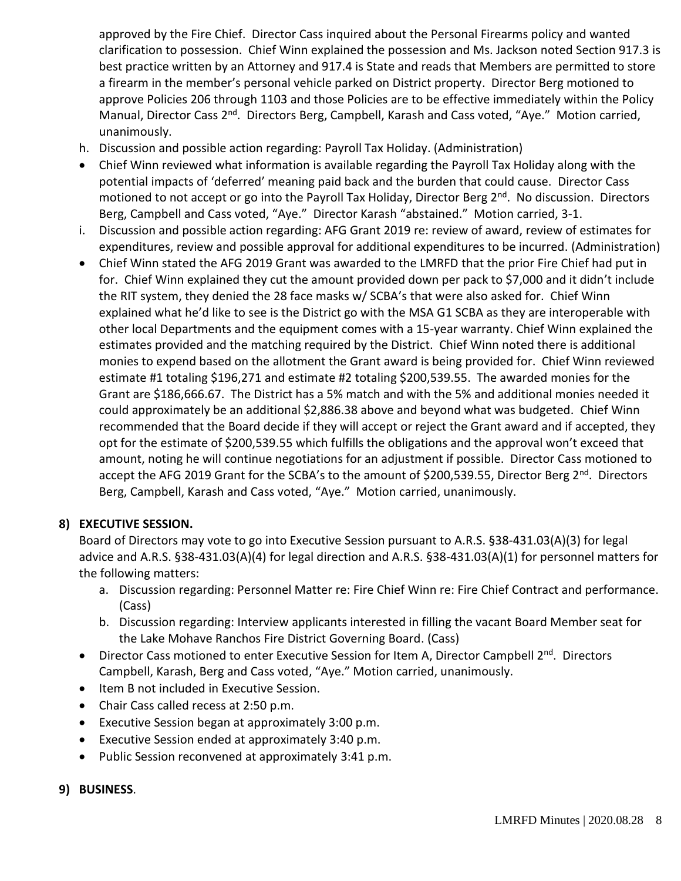approved by the Fire Chief. Director Cass inquired about the Personal Firearms policy and wanted clarification to possession. Chief Winn explained the possession and Ms. Jackson noted Section 917.3 is best practice written by an Attorney and 917.4 is State and reads that Members are permitted to store a firearm in the member's personal vehicle parked on District property. Director Berg motioned to approve Policies 206 through 1103 and those Policies are to be effective immediately within the Policy Manual, Director Cass 2<sup>nd</sup>. Directors Berg, Campbell, Karash and Cass voted, "Aye." Motion carried, unanimously.

- h. Discussion and possible action regarding: Payroll Tax Holiday. (Administration)
- Chief Winn reviewed what information is available regarding the Payroll Tax Holiday along with the potential impacts of 'deferred' meaning paid back and the burden that could cause. Director Cass motioned to not accept or go into the Payroll Tax Holiday, Director Berg 2<sup>nd</sup>. No discussion. Directors Berg, Campbell and Cass voted, "Aye." Director Karash "abstained." Motion carried, 3-1.
- i. Discussion and possible action regarding: AFG Grant 2019 re: review of award, review of estimates for expenditures, review and possible approval for additional expenditures to be incurred. (Administration)
- Chief Winn stated the AFG 2019 Grant was awarded to the LMRFD that the prior Fire Chief had put in for. Chief Winn explained they cut the amount provided down per pack to \$7,000 and it didn't include the RIT system, they denied the 28 face masks w/ SCBA's that were also asked for. Chief Winn explained what he'd like to see is the District go with the MSA G1 SCBA as they are interoperable with other local Departments and the equipment comes with a 15-year warranty. Chief Winn explained the estimates provided and the matching required by the District. Chief Winn noted there is additional monies to expend based on the allotment the Grant award is being provided for. Chief Winn reviewed estimate #1 totaling \$196,271 and estimate #2 totaling \$200,539.55. The awarded monies for the Grant are \$186,666.67. The District has a 5% match and with the 5% and additional monies needed it could approximately be an additional \$2,886.38 above and beyond what was budgeted. Chief Winn recommended that the Board decide if they will accept or reject the Grant award and if accepted, they opt for the estimate of \$200,539.55 which fulfills the obligations and the approval won't exceed that amount, noting he will continue negotiations for an adjustment if possible. Director Cass motioned to accept the AFG 2019 Grant for the SCBA's to the amount of \$200,539.55, Director Berg 2<sup>nd</sup>. Directors Berg, Campbell, Karash and Cass voted, "Aye." Motion carried, unanimously.

# **8) EXECUTIVE SESSION.**

Board of Directors may vote to go into Executive Session pursuant to A.R.S. §38-431.03(A)(3) for legal advice and A.R.S. §38-431.03(A)(4) for legal direction and A.R.S. §38-431.03(A)(1) for personnel matters for the following matters:

- a. Discussion regarding: Personnel Matter re: Fire Chief Winn re: Fire Chief Contract and performance. (Cass)
- b. Discussion regarding: Interview applicants interested in filling the vacant Board Member seat for the Lake Mohave Ranchos Fire District Governing Board. (Cass)
- Director Cass motioned to enter Executive Session for Item A, Director Campbell 2<sup>nd</sup>. Directors Campbell, Karash, Berg and Cass voted, "Aye." Motion carried, unanimously.
- Item B not included in Executive Session.
- Chair Cass called recess at 2:50 p.m.
- Executive Session began at approximately 3:00 p.m.
- Executive Session ended at approximately 3:40 p.m.
- Public Session reconvened at approximately 3:41 p.m.
- **9) BUSINESS**.